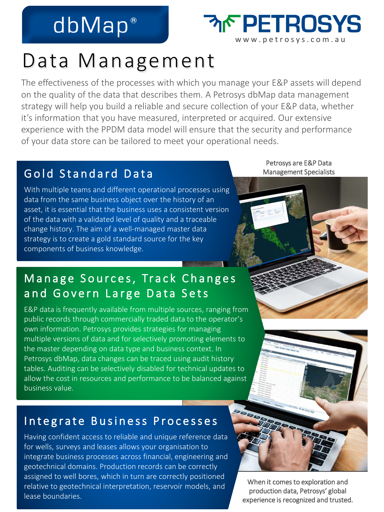# dbMap<sup>®</sup>



## Data Management

The effectiveness of the processes with which you manage your E&P assets will depend on the quality of the data that describes them. A Petrosys dbMap data management strategy will help you build a reliable and secure collection of your E&P data, whether it's information that you have measured, interpreted or acquired. Our extensive experience with the PPDM data model will ensure that the security and performance of your data store can be tailored to meet your operational needs.

### Gold Standard Data

With multiple teams and different operational processes using data from the same business object over the history of an asset, it is essential that the business uses a consistent version of the data with a validated level of quality and a traceable change history. The aim of a well-managed master data strategy is to create a gold standard source for the key components of business knowledge.

Petrosys are E&P Data Management Specialists

#### **TELEVISION NEWSFILM**

### Manage Sources, Track Changes and Govern Large Data Sets

E&P data is frequently available from multiple sources, ranging from public records through commercially traded data to the operator's own information. Petrosys provides strategies for managing multiple versions of data and for selectively promoting elements to the master depending on data type and business context. In Petrosys dbMap, data changes can be traced using audit history tables. Auditing can be selectively disabled for technical updates to allow the cost in resources and performance to be balanced against business value.

### Integrate Business Processes

Having confident access to reliable and unique reference data for wells, surveys and leases allows your organisation to integrate business processes across financial, engineering and geotechnical domains. Production records can be correctly assigned to well bores, which in turn are correctly positioned relative to geotechnical interpretation, reservoir models, and lease boundaries.

When it comes to exploration and production data, Petrosys' global experience is recognized and trusted.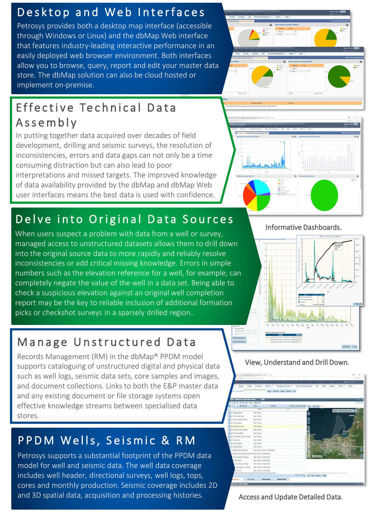### Desktop and Web Interfaces

Petrosys provides both a desktop map interface (accessible through Windows or Linux) and the dbMap Web interface that features industry-leading interactive performance in an easily deployed web browser environment. Both interfaces allow you to browse, query, report and edit your master data store. The dbMap solution can also be cloud hosted or implement on-premise.



### Effective Technical Data Assembly

In putting together data acquired over decades of field development, drilling and seismic surveys, the resolution of inconsistencies, errors and data gaps can not only be a time consuming distraction but can also lead to poor interpretations and missed targets. The improved knowledge of data availability provided by the dbMap and dbMap Web user interfaces means the best data is used with confidence.

### Delve into Original Data Sources

When users suspect a problem with data from a well or survey, managed access to unstructured datasets allows them to drill down into the original source data to more rapidly and reliably resolve inconsistencies or add critical missing knowledge. Errors in simple numbers such as the elevation reference for a well, for example, can completely negate the value of the well in a data set. Being able to check a suspicious elevation against an original well completion report may be the key to reliable inclusion of additional formation picks or checkshot surveys in a sparsely drilled region..

### Manage Unstructured Data

Records Management (RM) in the dbMap® PPDM model supports cataloguing of unstructured digital and physical data such as well logs, seismic data sets, core samples and images, and document collections. Links to both the E&P master data and any existing document or file storage systems open effective knowledge streams between specialised data stores.

## PPDM Wells, Seismic & RM

Petrosys supports a substantial footprint of the PPDM data model for well and seismic data. The well data coverage includes well header, directional surveys, well logs, tops, cores and monthly production. Seismic coverage includes 2D and 3D spatial data, acquisition and processing histories.



#### Informative Dashboards.



#### View, Understand and Drill Down.

|          | and maids \$3000 interval points and an ap-<br>Basins<br>Fields<br>÷ |      | <b>Facilities</b><br>Seismic -        | Prospects & Leads . | Records Management      | GIS                                                                                                                  | Tries        | Leases | Admin · | 99401<br><b>VL38</b> x17.2.223510<br>Help - |
|----------|----------------------------------------------------------------------|------|---------------------------------------|---------------------|-------------------------|----------------------------------------------------------------------------------------------------------------------|--------------|--------|---------|---------------------------------------------|
|          |                                                                      |      |                                       |                     |                         |                                                                                                                      |              |        |         |                                             |
|          | ech common fields                                                    |      | Search Advanced Queries Map AOI Lists |                     |                         |                                                                                                                      |              |        |         |                                             |
|          |                                                                      |      |                                       |                     |                         |                                                                                                                      |              |        |         |                                             |
|          | Basin : Wilahermosa Uplift, Basin, Mexico  U\$6\$                    |      |                                       |                     |                         |                                                                                                                      |              |        |         | $\cdots$                                    |
| $\cdots$ | I Q D Q B Map Report @NewBasin                                       |      |                                       |                     |                         |                                                                                                                      |              |        |         | $0.0 \times x$                              |
|          | Rasin name                                                           | Tipe | Country <sup>2</sup>                  |                     | Oil show Gas show Water | Basin Record info Map                                                                                                |              |        |         |                                             |
|          |                                                                      |      | mexico                                |                     |                         |                                                                                                                      |              |        |         |                                             |
|          | 18 V. Mazadan Rasin                                                  |      | <b>Basic Mexico</b>                   |                     |                         | E                                                                                                                    |              |        |         |                                             |
|          | 19 2 Chicantepec Basin                                               |      | Basin Mexico                          |                     |                         |                                                                                                                      |              |        |         | Campechy                                    |
|          | 20 V. Jalsos-Daxaca Platform                                         |      | Basin Mexico                          |                     |                         |                                                                                                                      |              |        |         |                                             |
|          | 21 2. Veracruz Rasin                                                 |      | Rasin Mexico                          |                     |                         |                                                                                                                      |              |        |         |                                             |
|          | 22 V. Vilabermosa Ubilt                                              |      | <b>Basin Mexico</b>                   |                     |                         |                                                                                                                      |              |        |         |                                             |
|          | 23 / Saline-Comalcalco Basin                                         |      | Basin Mexico                          |                     |                         |                                                                                                                      |              |        |         |                                             |
|          | 24 2 Macuspana Basin                                                 |      | Basin Mexico                          |                     |                         | an Zeebale                                                                                                           |              |        |         |                                             |
|          | 26 / Serra Madre Oriental Foldbelt                                   |      | Rasin Mexico                          |                     |                         |                                                                                                                      |              |        |         | <b>LONGHOMP</b>                             |
|          | 26 R Tuxla Uplift                                                    |      | Rasin Mexico                          |                     |                         | przecośco                                                                                                            | Comatability |        |         |                                             |
|          | 27 Z Guerrero Basin                                                  |      | Basin Mexico                          |                     |                         |                                                                                                                      |              |        |         |                                             |
|          | 8 V. Chiapas Massif                                                  |      | Rasin Mexico                          |                     |                         |                                                                                                                      |              |        |         |                                             |
|          | 2. Bala California Backbone                                          |      | Rasin Mexico, Mexico, United States   |                     |                         |                                                                                                                      |              |        |         | de Pero                                     |
|          | 2 Southern Arizona-Southwestern Ne Basin Mexico, United States       |      |                                       |                     |                         |                                                                                                                      |              |        |         |                                             |
|          | South-Central New Mexico                                             |      | Basin Mexico, United States           |                     |                         |                                                                                                                      |              |        |         |                                             |
|          | Permian Basin                                                        |      | Basin Mexico, United States           |                     |                         |                                                                                                                      |              |        |         |                                             |
|          | Bonoran Basin and Range                                              |      | Rasin Mexico United States            |                     |                         |                                                                                                                      |              |        |         |                                             |
|          | thushuan Basin and Range                                             |      | Rasin Mexico, United States           |                     |                         |                                                                                                                      |              |        |         |                                             |
|          | extern Gulf                                                          |      | Basin Mexico, United States           |                     |                         |                                                                                                                      |              |        |         |                                             |
|          |                                                                      |      |                                       |                     |                         | Created by PETROSYS on DI-JAN 2014 Last updated by ALEC on DR.J.R. 2014<br>Vew 1 - 43 of 43 Edit New Save as. Delete |              |        |         |                                             |
|          |                                                                      |      |                                       |                     |                         |                                                                                                                      |              |        |         |                                             |

Access and Update Detailed Data.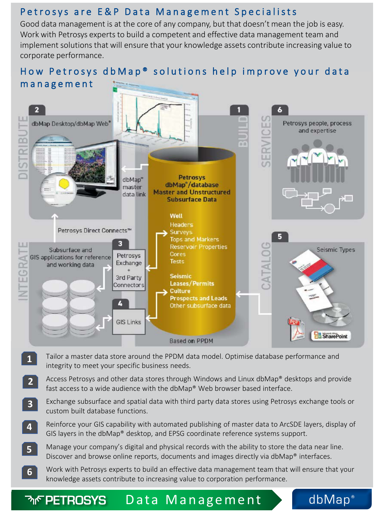### Petrosys are E&P Data Management Specialists

Good data management is at the core of any company, but that doesn't mean the job is easy. Work with Petrosys experts to build a competent and effective data management team and implement solutions that will ensure that your knowledge assets contribute increasing value to corporate performance.

### How Petrosys dbMap® solutions help improve your data management



- Tailor a master data store around the PPDM data model. Optimise database performance and integrity to meet your specific business needs. **1**
- Access Petrosys and other data stores through Windows and Linux dbMap® desktops and provide fast access to a wide audience with the dbMap® Web browser based interface. **2**
- Exchange subsurface and spatial data with third party data stores using Petrosys exchange tools or custom built database functions. **3**
- Reinforce your GIS capability with automated publishing of master data to ArcSDE layers, display of GIS layers in the dbMap® desktop, and EPSG coordinate reference systems support. **4**
- Manage your company's digital and physical records with the ability to store the data near line. Discover and browse online reports, documents and images directly via dbMap® interfaces. **5**
- Work with Petrosys experts to build an effective data management team that will ensure that your knowledge assets contribute to increasing value to corporation performance. **6**

dbMap<sup>®</sup>

#### Data Management **MF PETROSYS**